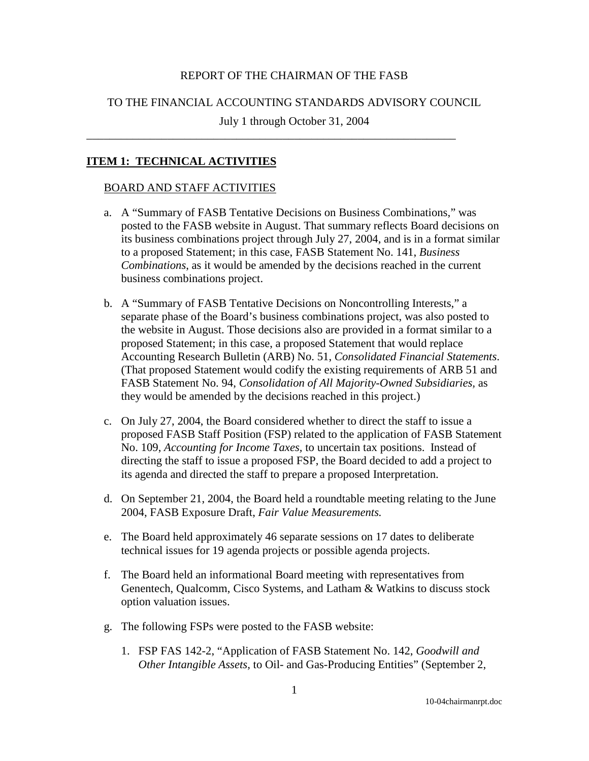## REPORT OF THE CHAIRMAN OF THE FASB

### TO THE FINANCIAL ACCOUNTING STANDARDS ADVISORY COUNCIL

July 1 through October 31, 2004

\_\_\_\_\_\_\_\_\_\_\_\_\_\_\_\_\_\_\_\_\_\_\_\_\_\_\_\_\_\_\_\_\_\_\_\_\_\_\_\_\_\_\_\_\_\_\_\_\_\_\_\_\_\_\_\_\_\_\_\_\_\_\_\_

### **ITEM 1: TECHNICAL ACTIVITIES**

#### BOARD AND STAFF ACTIVITIES

- a. A "Summary of FASB Tentative Decisions on Business Combinations," was posted to the FASB website in August. That summary reflects Board decisions on its business combinations project through July 27, 2004, and is in a format similar to a proposed Statement; in this case, FASB Statement No. 141, *Business Combinations*, as it would be amended by the decisions reached in the current business combinations project.
- b. A "Summary of FASB Tentative Decisions on Noncontrolling Interests," a separate phase of the Board's business combinations project, was also posted to the website in August. Those decisions also are provided in a format similar to a proposed Statement; in this case, a proposed Statement that would replace Accounting Research Bulletin (ARB) No. 51, *Consolidated Financial Statements*. (That proposed Statement would codify the existing requirements of ARB 51 and FASB Statement No. 94, *Consolidation of All Majority-Owned Subsidiaries,* as they would be amended by the decisions reached in this project.)
- c. On July 27, 2004, the Board considered whether to direct the staff to issue a proposed FASB Staff Position (FSP) related to the application of FASB Statement No. 109, *Accounting for Income Taxes,* to uncertain tax positions. Instead of directing the staff to issue a proposed FSP, the Board decided to add a project to its agenda and directed the staff to prepare a proposed Interpretation.
- d. On September 21, 2004, the Board held a roundtable meeting relating to the June 2004, FASB Exposure Draft, *Fair Value Measurements.*
- e. The Board held approximately 46 separate sessions on 17 dates to deliberate technical issues for 19 agenda projects or possible agenda projects.
- f. The Board held an informational Board meeting with representatives from Genentech, Qualcomm, Cisco Systems, and Latham & Watkins to discuss stock option valuation issues.
- g. The following FSPs were posted to the FASB website:
	- 1. FSP FAS 142-2, "Application of FASB Statement No. 142, *Goodwill and Other Intangible Assets,* to Oil- and Gas-Producing Entities" (September 2,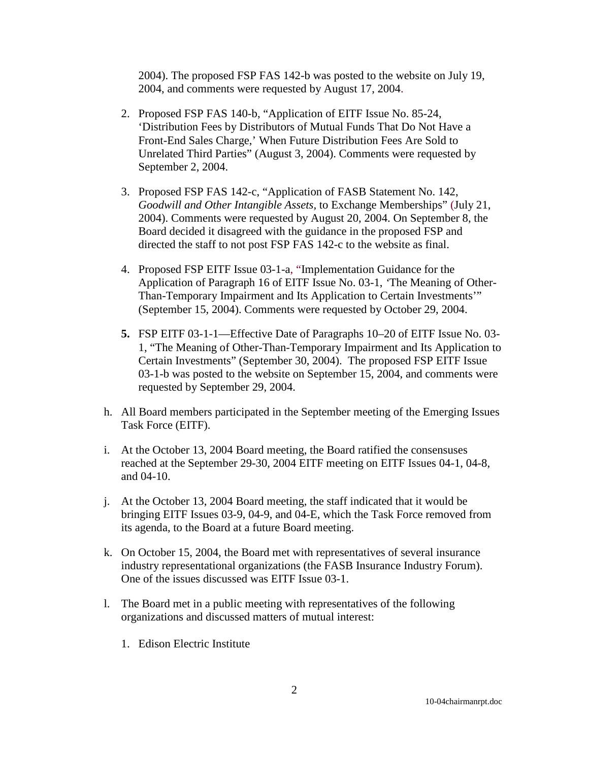2004). The proposed FSP FAS 142-b was posted to the website on July 19, 2004, and comments were requested by August 17, 2004.

- 2. Proposed FSP FAS 140-b, "Application of EITF Issue No. 85-24, 'Distribution Fees by Distributors of Mutual Funds That Do Not Have a Front-End Sales Charge,' When Future Distribution Fees Are Sold to Unrelated Third Parties" (August 3, 2004). Comments were requested by September 2, 2004.
- 3. Proposed FSP FAS 142-c, "Application of FASB Statement No. 142, *Goodwill and Other Intangible Assets,* to Exchange Memberships" (July 21, 2004). Comments were requested by August 20, 2004. On September 8, the Board decided it disagreed with the guidance in the proposed FSP and directed the staff to not post FSP FAS 142-c to the website as final.
- 4. Proposed FSP EITF Issue 03-1-a, "Implementation Guidance for the Application of Paragraph 16 of EITF Issue No. 03-1, *'*The Meaning of Other-Than-Temporary Impairment and Its Application to Certain Investments'" (September 15, 2004). Comments were requested by October 29, 2004.
- **5.** [FSP EITF 03-1-1—](http://www.fasb.org/fasb_staff_positions/fsp_eitf03-1-1.pdf)Effective Date of Paragraphs 10–20 of EITF Issue No. 03- 1, "The Meaning of Other-Than-Temporary Impairment and Its Application to Certain Investments" (September 30, 2004). The proposed FSP EITF Issue 03-1-b was posted to the website on September 15, 2004, and comments were requested by September 29, 2004.
- h. All Board members participated in the September meeting of the Emerging Issues Task Force (EITF).
- i. At the October 13, 2004 Board meeting, the Board ratified the consensuses reached at the September 29-30, 2004 EITF meeting on EITF Issues 04-1, 04-8, and 04-10.
- j. At the October 13, 2004 Board meeting, the staff indicated that it would be bringing EITF Issues 03-9, 04-9, and 04-E, which the Task Force removed from its agenda, to the Board at a future Board meeting.
- k. On October 15, 2004, the Board met with representatives of several insurance industry representational organizations (the FASB Insurance Industry Forum). One of the issues discussed was EITF Issue 03-1.
- l. The Board met in a public meeting with representatives of the following organizations and discussed matters of mutual interest:
	- 1. Edison Electric Institute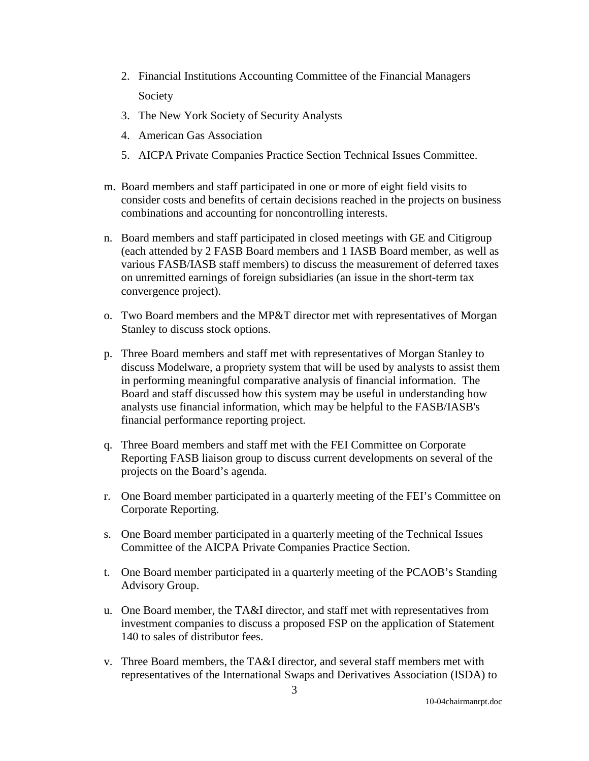- 2. Financial Institutions Accounting Committee of the Financial Managers Society
- 3. The New York Society of Security Analysts
- 4. American Gas Association
- 5. AICPA Private Companies Practice Section Technical Issues Committee.
- m. Board members and staff participated in one or more of eight field visits to consider costs and benefits of certain decisions reached in the projects on business combinations and accounting for noncontrolling interests.
- n. Board members and staff participated in closed meetings with GE and Citigroup (each attended by 2 FASB Board members and 1 IASB Board member, as well as various FASB/IASB staff members) to discuss the measurement of deferred taxes on unremitted earnings of foreign subsidiaries (an issue in the short-term tax convergence project).
- o. Two Board members and the MP&T director met with representatives of Morgan Stanley to discuss stock options.
- p. Three Board members and staff met with representatives of Morgan Stanley to discuss Modelware, a propriety system that will be used by analysts to assist them in performing meaningful comparative analysis of financial information. The Board and staff discussed how this system may be useful in understanding how analysts use financial information, which may be helpful to the FASB/IASB's financial performance reporting project.
- q. Three Board members and staff met with the FEI Committee on Corporate Reporting FASB liaison group to discuss current developments on several of the projects on the Board's agenda.
- r. One Board member participated in a quarterly meeting of the FEI's Committee on Corporate Reporting.
- s. One Board member participated in a quarterly meeting of the Technical Issues Committee of the AICPA Private Companies Practice Section.
- t. One Board member participated in a quarterly meeting of the PCAOB's Standing Advisory Group.
- u. One Board member, the TA&I director, and staff met with representatives from investment companies to discuss a proposed FSP on the application of Statement 140 to sales of distributor fees.
- v. Three Board members, the TA&I director, and several staff members met with representatives of the International Swaps and Derivatives Association (ISDA) to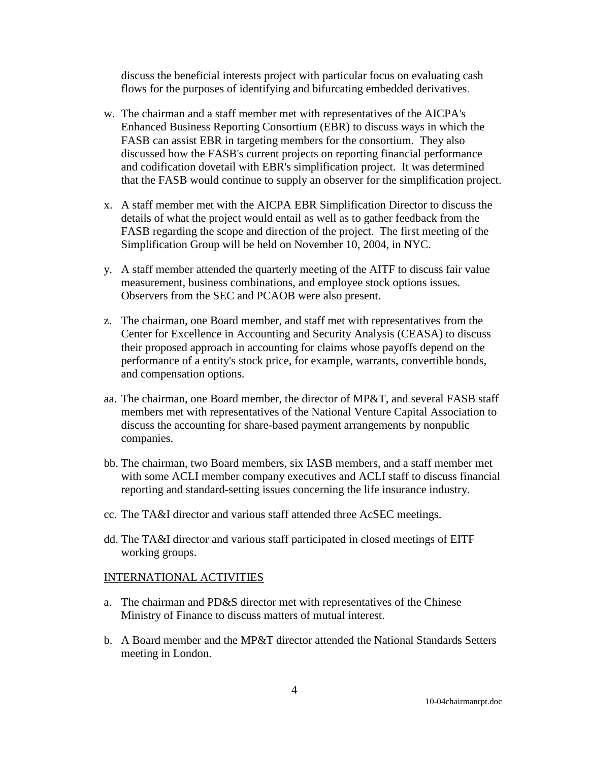discuss the beneficial interests project with particular focus on evaluating cash flows for the purposes of identifying and bifurcating embedded derivatives.

- w. The chairman and a staff member met with representatives of the AICPA's Enhanced Business Reporting Consortium (EBR) to discuss ways in which the FASB can assist EBR in targeting members for the consortium. They also discussed how the FASB's current projects on reporting financial performance and codification dovetail with EBR's simplification project. It was determined that the FASB would continue to supply an observer for the simplification project.
- x. A staff member met with the AICPA EBR Simplification Director to discuss the details of what the project would entail as well as to gather feedback from the FASB regarding the scope and direction of the project. The first meeting of the Simplification Group will be held on November 10, 2004, in NYC.
- y. A staff member attended the quarterly meeting of the AITF to discuss fair value measurement, business combinations, and employee stock options issues. Observers from the SEC and PCAOB were also present.
- z. The chairman, one Board member, and staff met with representatives from the Center for Excellence in Accounting and Security Analysis (CEASA) to discuss their proposed approach in accounting for claims whose payoffs depend on the performance of a entity's stock price, for example, warrants, convertible bonds, and compensation options.
- aa. The chairman, one Board member, the director of MP&T, and several FASB staff members met with representatives of the National Venture Capital Association to discuss the accounting for share-based payment arrangements by nonpublic companies.
- bb. The chairman, two Board members, six IASB members, and a staff member met with some ACLI member company executives and ACLI staff to discuss financial reporting and standard-setting issues concerning the life insurance industry.
- cc. The TA&I director and various staff attended three AcSEC meetings.
- dd. The TA&I director and various staff participated in closed meetings of EITF working groups.

## INTERNATIONAL ACTIVITIES

- a. The chairman and PD&S director met with representatives of the Chinese Ministry of Finance to discuss matters of mutual interest.
- b. A Board member and the MP&T director attended the National Standards Setters meeting in London.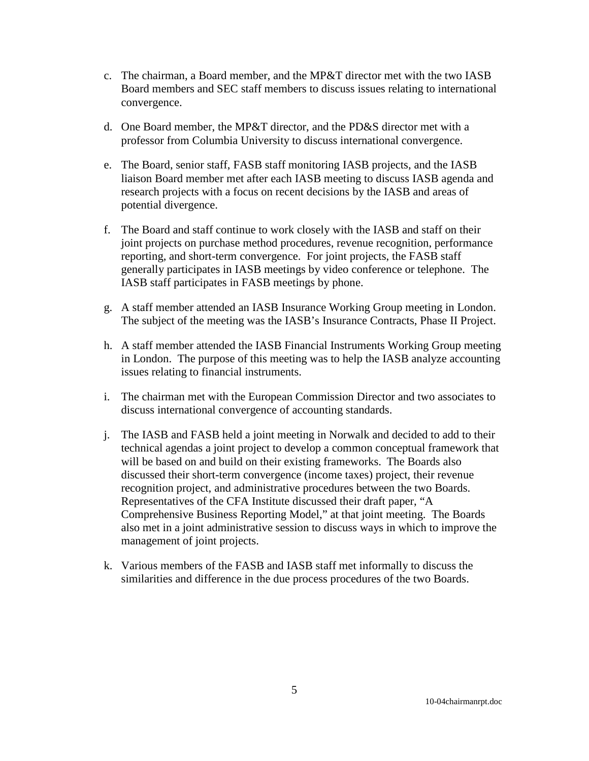- c. The chairman, a Board member, and the MP&T director met with the two IASB Board members and SEC staff members to discuss issues relating to international convergence.
- d. One Board member, the MP&T director, and the PD&S director met with a professor from Columbia University to discuss international convergence.
- e. The Board, senior staff, FASB staff monitoring IASB projects, and the IASB liaison Board member met after each IASB meeting to discuss IASB agenda and research projects with a focus on recent decisions by the IASB and areas of potential divergence.
- f. The Board and staff continue to work closely with the IASB and staff on their joint projects on purchase method procedures, revenue recognition, performance reporting, and short-term convergence. For joint projects, the FASB staff generally participates in IASB meetings by video conference or telephone. The IASB staff participates in FASB meetings by phone.
- g. A staff member attended an IASB Insurance Working Group meeting in London. The subject of the meeting was the IASB's Insurance Contracts, Phase II Project.
- h. A staff member attended the IASB Financial Instruments Working Group meeting in London. The purpose of this meeting was to help the IASB analyze accounting issues relating to financial instruments.
- i. The chairman met with the European Commission Director and two associates to discuss international convergence of accounting standards.
- j. The IASB and FASB held a joint meeting in Norwalk and decided to add to their technical agendas a joint project to develop a common conceptual framework that will be based on and build on their existing frameworks. The Boards also discussed their short-term convergence (income taxes) project, their revenue recognition project, and administrative procedures between the two Boards. Representatives of the CFA Institute discussed their draft paper, "A Comprehensive Business Reporting Model," at that joint meeting. The Boards also met in a joint administrative session to discuss ways in which to improve the management of joint projects.
- k. Various members of the FASB and IASB staff met informally to discuss the similarities and difference in the due process procedures of the two Boards.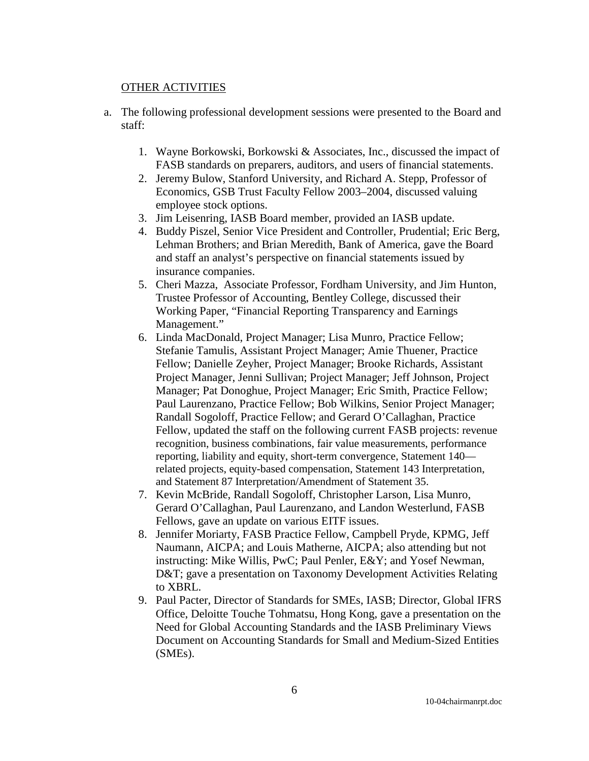### OTHER ACTIVITIES

- a. The following professional development sessions were presented to the Board and staff:
	- 1. Wayne Borkowski, Borkowski & Associates, Inc., discussed the impact of FASB standards on preparers, auditors, and users of financial statements.
	- 2. Jeremy Bulow, Stanford University, and Richard A. Stepp, Professor of Economics, GSB Trust Faculty Fellow 2003–2004, discussed valuing employee stock options.
	- 3. Jim Leisenring, IASB Board member, provided an IASB update.
	- 4. Buddy Piszel, Senior Vice President and Controller, Prudential; Eric Berg, Lehman Brothers; and Brian Meredith, Bank of America, gave the Board and staff an analyst's perspective on financial statements issued by insurance companies.
	- 5. Cheri Mazza, Associate Professor, Fordham University, and Jim Hunton, Trustee Professor of Accounting, Bentley College, discussed their Working Paper, "Financial Reporting Transparency and Earnings Management."
	- 6. Linda MacDonald, Project Manager; Lisa Munro, Practice Fellow; Stefanie Tamulis, Assistant Project Manager; Amie Thuener, Practice Fellow; Danielle Zeyher, Project Manager; Brooke Richards, Assistant Project Manager, Jenni Sullivan; Project Manager; Jeff Johnson, Project Manager; Pat Donoghue, Project Manager; Eric Smith, Practice Fellow; Paul Laurenzano, Practice Fellow; Bob Wilkins, Senior Project Manager; Randall Sogoloff, Practice Fellow; and Gerard O'Callaghan, Practice Fellow, updated the staff on the following current FASB projects: revenue recognition, business combinations, fair value measurements, performance reporting, liability and equity, short-term convergence, Statement 140 related projects, equity-based compensation, Statement 143 Interpretation, and Statement 87 Interpretation/Amendment of Statement 35.
	- 7. Kevin McBride, Randall Sogoloff, Christopher Larson, Lisa Munro, Gerard O'Callaghan, Paul Laurenzano, and Landon Westerlund, FASB Fellows, gave an update on various EITF issues.
	- 8. Jennifer Moriarty, FASB Practice Fellow, Campbell Pryde, KPMG, Jeff Naumann, AICPA; and Louis Matherne, AICPA; also attending but not instructing: Mike Willis, PwC; Paul Penler, E&Y; and Yosef Newman, D&T; gave a presentation on Taxonomy Development Activities Relating to XBRL.
	- 9. Paul Pacter, Director of Standards for SMEs, IASB; Director, Global IFRS Office, Deloitte Touche Tohmatsu, Hong Kong, gave a presentation on the Need for Global Accounting Standards and the IASB Preliminary Views Document on Accounting Standards for Small and Medium-Sized Entities (SMEs).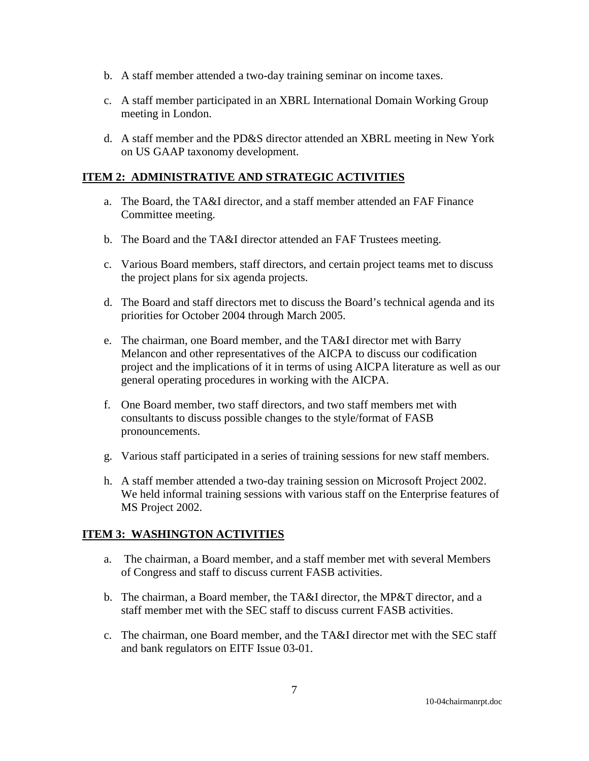- b. A staff member attended a two-day training seminar on income taxes.
- c. A staff member participated in an XBRL International Domain Working Group meeting in London.
- d. A staff member and the PD&S director attended an XBRL meeting in New York on US GAAP taxonomy development.

# **ITEM 2: ADMINISTRATIVE AND STRATEGIC ACTIVITIES**

- a. The Board, the TA&I director, and a staff member attended an FAF Finance Committee meeting.
- b. The Board and the TA&I director attended an FAF Trustees meeting.
- c. Various Board members, staff directors, and certain project teams met to discuss the project plans for six agenda projects.
- d. The Board and staff directors met to discuss the Board's technical agenda and its priorities for October 2004 through March 2005.
- e. The chairman, one Board member, and the TA&I director met with Barry Melancon and other representatives of the AICPA to discuss our codification project and the implications of it in terms of using AICPA literature as well as our general operating procedures in working with the AICPA.
- f. One Board member, two staff directors, and two staff members met with consultants to discuss possible changes to the style/format of FASB pronouncements.
- g. Various staff participated in a series of training sessions for new staff members.
- h. A staff member attended a two-day training session on Microsoft Project 2002. We held informal training sessions with various staff on the Enterprise features of MS Project 2002.

# **ITEM 3: WASHINGTON ACTIVITIES**

- a. The chairman, a Board member, and a staff member met with several Members of Congress and staff to discuss current FASB activities.
- b. The chairman, a Board member, the TA&I director, the MP&T director, and a staff member met with the SEC staff to discuss current FASB activities.
- c. The chairman, one Board member, and the TA&I director met with the SEC staff and bank regulators on EITF Issue 03-01.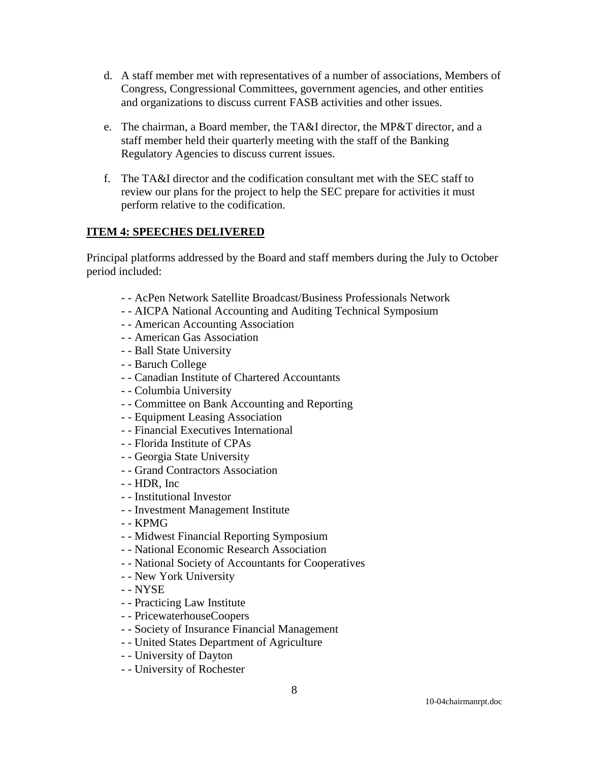- d. A staff member met with representatives of a number of associations, Members of Congress, Congressional Committees, government agencies, and other entities and organizations to discuss current FASB activities and other issues.
- e. The chairman, a Board member, the TA&I director, the MP&T director, and a staff member held their quarterly meeting with the staff of the Banking Regulatory Agencies to discuss current issues.
- f. The TA&I director and the codification consultant met with the SEC staff to review our plans for the project to help the SEC prepare for activities it must perform relative to the codification.

## **ITEM 4: SPEECHES DELIVERED**

Principal platforms addressed by the Board and staff members during the July to October period included:

- - AcPen Network Satellite Broadcast/Business Professionals Network
- - AICPA National Accounting and Auditing Technical Symposium
- - American Accounting Association
- - American Gas Association
- - Ball State University
- - Baruch College
- - Canadian Institute of Chartered Accountants
- - Columbia University
- - Committee on Bank Accounting and Reporting
- - Equipment Leasing Association
- - Financial Executives International
- - Florida Institute of CPAs
- - Georgia State University
- - Grand Contractors Association
- - HDR, Inc
- - Institutional Investor
- - Investment Management Institute
- - KPMG
- - Midwest Financial Reporting Symposium
- - National Economic Research Association
- - National Society of Accountants for Cooperatives
- - New York University
- - NYSE
- - Practicing Law Institute
- - PricewaterhouseCoopers
- - Society of Insurance Financial Management
- - United States Department of Agriculture
- - University of Dayton
- - University of Rochester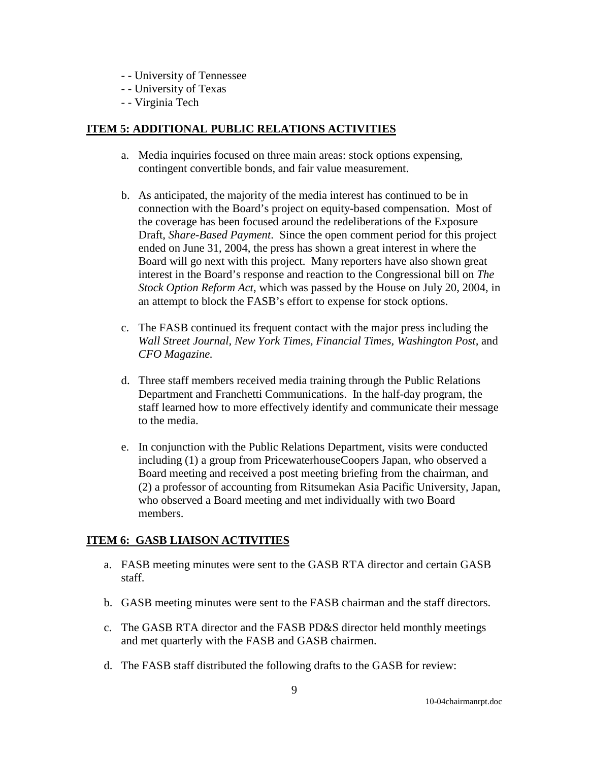- - University of Tennessee
- - University of Texas
- - Virginia Tech

# **ITEM 5: ADDITIONAL PUBLIC RELATIONS ACTIVITIES**

- a. Media inquiries focused on three main areas: stock options expensing, contingent convertible bonds, and fair value measurement.
- b. As anticipated, the majority of the media interest has continued to be in connection with the Board's project on equity-based compensation. Most of the coverage has been focused around the redeliberations of the Exposure Draft, *Share-Based Payment*. Since the open comment period for this project ended on June 31, 2004, the press has shown a great interest in where the Board will go next with this project. Many reporters have also shown great interest in the Board's response and reaction to the Congressional bill on *The Stock Option Reform Act*, which was passed by the House on July 20, 2004, in an attempt to block the FASB's effort to expense for stock options.
- c. The FASB continued its frequent contact with the major press including the *Wall Street Journal, New York Times, Financial Times, Washington Post,* and *CFO Magazine.*
- d. Three staff members received media training through the Public Relations Department and Franchetti Communications. In the half-day program, the staff learned how to more effectively identify and communicate their message to the media.
- e. In conjunction with the Public Relations Department, visits were conducted including (1) a group from PricewaterhouseCoopers Japan, who observed a Board meeting and received a post meeting briefing from the chairman, and (2) a professor of accounting from Ritsumekan Asia Pacific University, Japan, who observed a Board meeting and met individually with two Board members.

# **ITEM 6: GASB LIAISON ACTIVITIES**

- a. FASB meeting minutes were sent to the GASB RTA director and certain GASB staff.
- b. GASB meeting minutes were sent to the FASB chairman and the staff directors.
- c. The GASB RTA director and the FASB PD&S director held monthly meetings and met quarterly with the FASB and GASB chairmen.
- d. The FASB staff distributed the following drafts to the GASB for review: